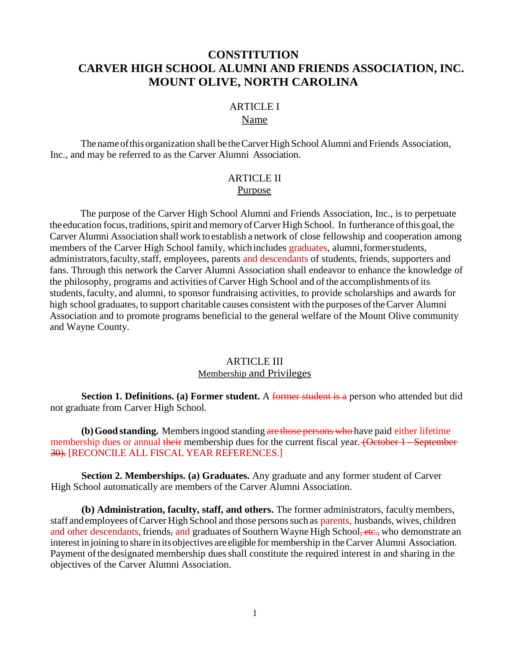# **CONSTITUTION CARVER HIGH SCHOOL ALUMNI AND FRIENDS ASSOCIATION, INC. MOUNT OLIVE, NORTH CAROLINA**

### ARTICLE I

#### Name

Thenameofthisorganization shall be theCarverHigh School Alumni and Friends Association, Inc., and may be referred to as the Carver Alumni Association.

### ARTICLE II Purpose

The purpose of the Carver High School Alumni and Friends Association, Inc., is to perpetuate the education focus, traditions, spirit and memory of Carver High School. In furtherance of this goal, the Carver Alumni Association shall work toestablish a network of close fellowship and cooperation among members of the Carver High School family, which includes graduates, alumni, former students, administrators,faculty,staff, employees, parents and descendants of students, friends, supporters and fans. Through this network the Carver Alumni Association shall endeavor to enhance the knowledge of the philosophy, programs and activities of Carver High School and of the accomplishments ofits students, faculty, and alumni, to sponsor fundraising activities, to provide scholarships and awards for high school graduates, to support charitable causes consistent with the purposes of the Carver Alumni Association and to promote programs beneficial to the general welfare of the Mount Olive community and Wayne County.

### ARTICLE III Membership and Privileges

**Section 1. Definitions. (a) Former student.** A former student is a person who attended but did not graduate from Carver High School.

**(b)Good standing.** Membersingood standing are those persons who have paid either lifetime membership dues or annual their membership dues for the current fiscal year. (October 1 - September 30). [RECONCILE ALL FISCAL YEAR REFERENCES.]

**Section 2. Memberships. (a) Graduates.** Any graduate and any former student of Carver High School automatically are members of the Carver Alumni Association.

**(b) Administration, faculty, staff, and others.** The former administrators, faculty members, staff and employees of Carver High School and those persons such as parents, husbands, wives, children and other descendants, friends, and graduates of Southern Wayne High School, etc., who demonstrate an interest in joining to share in itsobjectives are eligible for membership in theCarver Alumni Association. Payment of the designated membership dues shall constitute the required interest in and sharing in the objectives of the Carver Alumni Association.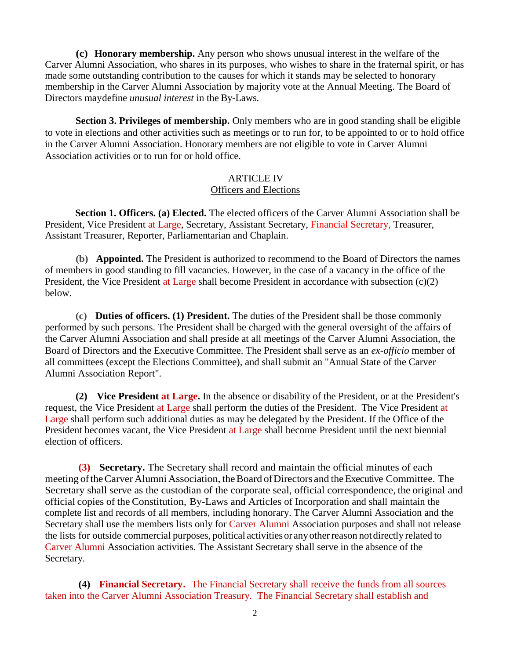**(c) Honorary membership.** Any person who shows unusual interest in the welfare of the Carver Alumni Association, who shares in its purposes, who wishes to share in the fraternal spirit, or has made some outstanding contribution to the causes for which it stands may be selected to honorary membership in the Carver Alumni Association by majority vote at the Annual Meeting. The Board of Directors maydefine *unusual interest* in the By-Laws.

**Section 3. Privileges of membership.** Only members who are in good standing shall be eligible to vote in elections and other activities such as meetings or to run for, to be appointed to or to hold office in the Carver Alumni Association. Honorary members are not eligible to vote in Carver Alumni Association activities or to run for or hold office.

#### ARTICLE IV Officers and Elections

**Section 1. Officers. (a) Elected.** The elected officers of the Carver Alumni Association shall be President, Vice President at Large, Secretary, Assistant Secretary, Financial Secretary, Treasurer, Assistant Treasurer, Reporter, Parliamentarian and Chaplain.

**(b) Appointed.** The President is authorized to recommend to the Board of Directors the names of members in good standing to fill vacancies. However, in the case of a vacancy in the office of the President, the Vice President at Large shall become President in accordance with subsection (c)(2) below.

**(c) Duties of officers. (1) President.** The duties of the President shall be those commonly performed by such persons. The President shall be charged with the general oversight of the affairs of the Carver Alumni Association and shall preside at all meetings of the Carver Alumni Association, the Board of Directors and the Executive Committee. The President shall serve as an *ex-officio* member of all committees (except the Elections Committee), and shall submit an "Annual State of the Carver Alumni Association Report".

**(2) Vice President at Large.** In the absence or disability of the President, or at the President's request, the Vice President at Large shall perform the duties of the President. The Vice President at Large shall perform such additional duties as may be delegated by the President. If the Office of the President becomes vacant, the Vice President at Large shall become President until the next biennial election of officers.

**(3) Secretary.** The Secretary shall record and maintain the official minutes of each meeting of the Carver Alumni Association, the Board of Directors and the Executive Committee. The Secretary shall serve as the custodian of the corporate seal, official correspondence, the original and official copies of the Constitution, By-Laws and Articles of Incorporation and shall maintain the complete list and records of all members, including honorary. The Carver Alumni Association and the Secretary shall use the members lists only for Carver Alumni Association purposes and shall not release the lists for outside commercial purposes, political activitiesor anyotherreason notdirectly related to Carver Alumni Association activities. The Assistant Secretary shall serve in the absence of the Secretary.

**(4) Financial Secretary.** The Financial Secretary shall receive the funds from all sources taken into the Carver Alumni Association Treasury. The Financial Secretary shall establish and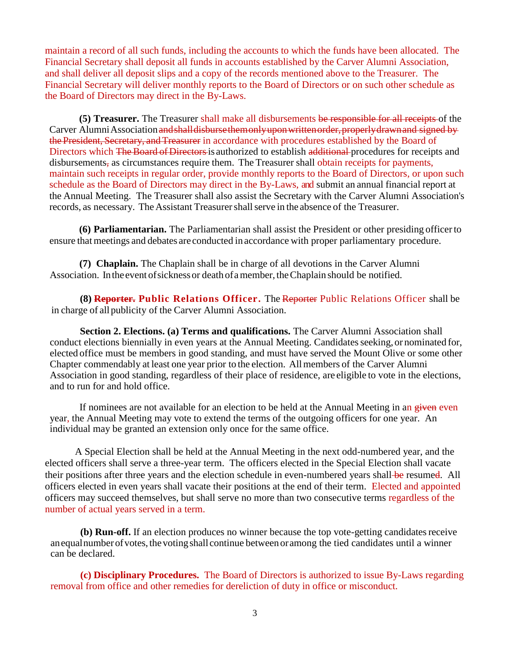maintain a record of all such funds, including the accounts to which the funds have been allocated. The Financial Secretary shall deposit all funds in accounts established by the Carver Alumni Association, and shall deliver all deposit slips and a copy of the records mentioned above to the Treasurer. The Financial Secretary will deliver monthly reports to the Board of Directors or on such other schedule as the Board of Directors may direct in the By-Laws.

**(5) Treasurer.** The Treasurer shall make all disbursements be responsible for all receipts of the Carver Alumni Association and shall disburse them only upon written order, properly drawn and signed by the President, Secretary, and Treasurer in accordance with procedures established by the Board of Directors which The Board of Directors is authorized to establish additional procedures for receipts and disbursements, as circumstances require them. The Treasurer shall obtain receipts for payments, maintain such receipts in regular order, provide monthly reports to the Board of Directors, or upon such schedule as the Board of Directors may direct in the By-Laws, and submit an annual financial report at the Annual Meeting. The Treasurer shall also assist the Secretary with the Carver Alumni Association's records, as necessary. The Assistant Treasurer shall serve in the absence of the Treasurer.

**(6) Parliamentarian.** The Parliamentarian shall assist the President or other presiding officerto ensure that meetings and debates are conducted in accordance with proper parliamentary procedure.

**(7) Chaplain.** The Chaplain shall be in charge of all devotions in the Carver Alumni Association. In the event of sickness or death of a member, the Chaplain should be notified.

**(8) Reporter. Public Relations Officer.** The Reporter Public Relations Officer shall be in charge of allpublicity of the Carver Alumni Association.

 **Section 2. Elections. (a) Terms and qualifications.** The Carver Alumni Association shall conduct elections biennially in even years at the Annual Meeting. Candidates seeking, or nominated for, elected office must be members in good standing, and must have served the Mount Olive or some other Chapter commendably at least one year prior to the election. Allmembers of the Carver Alumni Association in good standing, regardless of their place of residence, are eligible to vote in the elections, and to run for and hold office.

If nominees are not available for an election to be held at the Annual Meeting in an given even year, the Annual Meeting may vote to extend the terms of the outgoing officers for one year. An individual may be granted an extension only once for the same office.

A Special Election shall be held at the Annual Meeting in the next odd-numbered year, and the elected officers shall serve a three-year term. The officers elected in the Special Election shall vacate their positions after three years and the election schedule in even-numbered years shall-be resumed. All officers elected in even years shall vacate their positions at the end of their term. Elected and appointed officers may succeed themselves, but shall serve no more than two consecutive terms regardless of the number of actual years served in a term.

**(b) Run-off.** If an election produces no winner because the top vote-getting candidates receive an equal number of votes, the voting shall continue between oramong the tied candidates until a winner can be declared.

**(c) Disciplinary Procedures.** The Board of Directors is authorized to issue By-Laws regarding removal from office and other remedies for dereliction of duty in office or misconduct.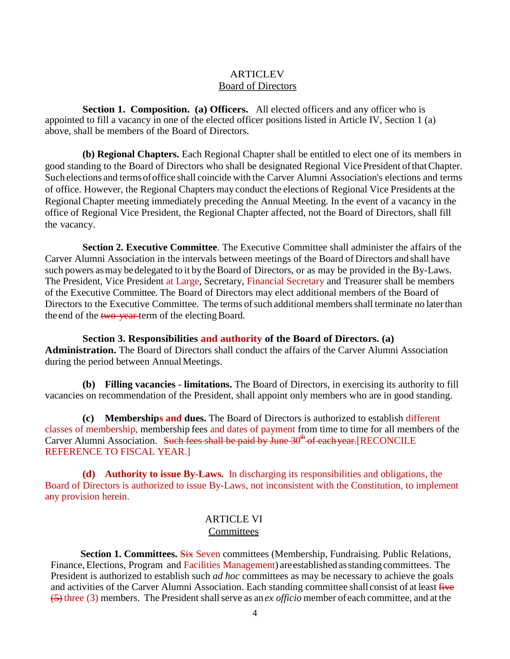### **ARTICLEV** Board of Directors

**Section 1. Composition. (a) Officers.** All elected officers and any officer who is appointed to fill a vacancy in one of the elected officer positions listed in Article IV, Section 1 (a) above, shall be members of the Board of Directors.

**(b) Regional Chapters.** Each Regional Chapter shall be entitled to elect one of its members in good standing to the Board of Directors who shall be designated Regional VicePresident ofthatChapter. Such elections and termsofoffice shall coincide with the Carver Alumni Association's elections and terms of office. However, the Regional Chapters may conduct the elections of Regional Vice Presidents at the Regional Chapter meeting immediately preceding the Annual Meeting. In the event of a vacancy in the office of Regional Vice President, the Regional Chapter affected, not the Board of Directors, shall fill the vacancy.

**Section 2. Executive Committee**. The Executive Committee shall administer the affairs of the Carver Alumni Association in the intervals between meetings of the Board of Directors and shall have such powers as may be delegated to it by the Board of Directors, or as may be provided in the By-Laws. The President, Vice President at Large, Secretary, Financial Secretary and Treasurer shall be members of the Executive Committee. The Board of Directors may elect additional members of the Board of Directors to the Executive Committee. The terms of such additional members shall terminate no later than the end of the two-year-term of the electing Board.

**Section 3. Responsibilities and authority of the Board of Directors. (a) Administration.** The Board of Directors shall conduct the affairs of the Carver Alumni Association during the period between Annual Meetings.

**(b) Filling vacancies** - **limitations.** The Board of Directors, in exercising its authority to fill vacancies on recommendation of the President, shall appoint only members who are in good standing.

**(c) Memberships and dues.** The Board of Directors is authorized to establish different classes of membership, membership fees and dates of payment from time to time for all members of the Carver Alumni Association. Such fees shall be paid by June  $30<sup>th</sup>$  of eachyear. [RECONCILE REFERENCE TO FISCAL YEAR.]

**(d) Authority to issue By-Laws.** In discharging its responsibilities and obligations, the Board of Directors is authorized to issue By-Laws, not inconsistent with the Constitution, to implement any provision herein.

### ARTICLE VI **Committees**

**Section 1. Committees. Six Seven committees (Membership, Fundraising. Public Relations,** Finance, Elections, Program and Facilities Management) areestablished asstanding committees. The President is authorized to establish such *ad hoc* committees as may be necessary to achieve the goals and activities of the Carver Alumni Association. Each standing committee shall consist of at least five (5) three (3) members. The President shallserve as an *ex officio* member ofeach committee, and at the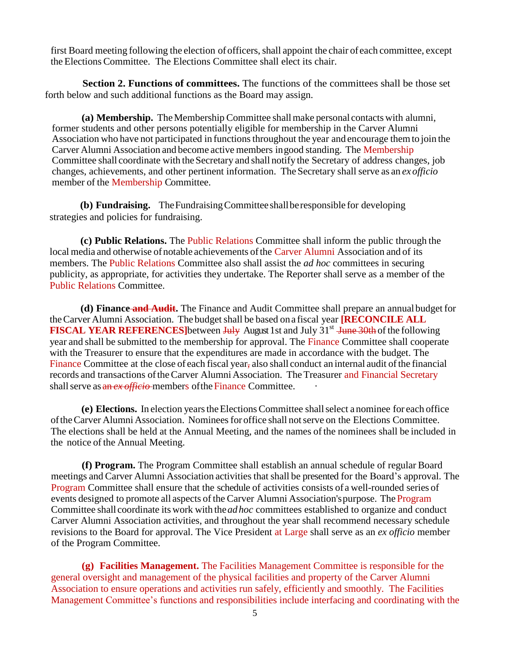first Board meeting following the election of officers, shall appoint the chair of each committee, except the Elections Committee. The Elections Committee shall elect its chair.

**Section 2. Functions of committees.** The functions of the committees shall be those set forth below and such additional functions as the Board may assign.

**(a) Membership.** TheMembership Committee shallmake personal contacts with alumni, former students and other persons potentially eligible for membership in the Carver Alumni Association who have not participated in functionsthroughout the year and encourage themto join the Carver Alumni Association and become active members ingood standing. The Membership Committee shall coordinate with the Secretary and shall notify the Secretary of address changes, job changes, achievements, and other pertinent information. The Secretary shallserve as an *ex officio* member of the Membership Committee.

**(b) Fundraising.** TheFundraisingCommitteeshallberesponsible for developing strategies and policies for fundraising.

**(c) Public Relations.** The Public Relations Committee shall inform the public through the local media and otherwise of notable achievements of the Carver Alumni Association and of its members. The Public Relations Committee also shall assist the *ad hoc* committees in securing publicity, as appropriate, for activities they undertake. The Reporter shall serve as a member of the Public Relations Committee.

**(d) Finance and Audit.** The Finance and Audit Committee shall prepare an annual budget for the Carver Alumni Association. The budget shall be based on a fiscal year **[RECONCILE ALL FISCAL YEAR REFERENCES**]between July August 1st and July 31<sup>st</sup> June 30th of the following year and shall be submitted to the membership for approval. The Finance Committee shall cooperate with the Treasurer to ensure that the expenditures are made in accordance with the budget. The Finance Committee at the close of each fiscal year, also shall conduct an internal audit of the financial records and transactions of the Carver Alumni Association. The Treasurer and Financial Secretary shall serve as an *ex officio*-members of the Finance Committee.

**(e) Elections.** In election yearstheElectionsCommittee shallselect a nominee for each office oftheCarver Alumni Association. Nomineesfor office shall notserve on the Elections Committee. The elections shall be held at the Annual Meeting, and the names ofthe nominees shall be included in the notice of the Annual Meeting.

**(f) Program.** The Program Committee shall establish an annual schedule of regular Board meetings and Carver Alumni Association activities that shall be presented for the Board's approval. The Program Committee shall ensure that the schedule of activities consists of a well-rounded series of events designed to promote all aspects of the Carver Alumni Association'spurpose. The Program Committee shall coordinate its work with the*adhoc* committees established to organize and conduct Carver Alumni Association activities, and throughout the year shall recommend necessary schedule revisions to the Board for approval. The Vice President at Large shall serve as an *ex officio* member of the Program Committee.

**(g) Facilities Management.** The Facilities Management Committee is responsible for the general oversight and management of the physical facilities and property of the Carver Alumni Association to ensure operations and activities run safely, efficiently and smoothly. The Facilities Management Committee's functions and responsibilities include interfacing and coordinating with the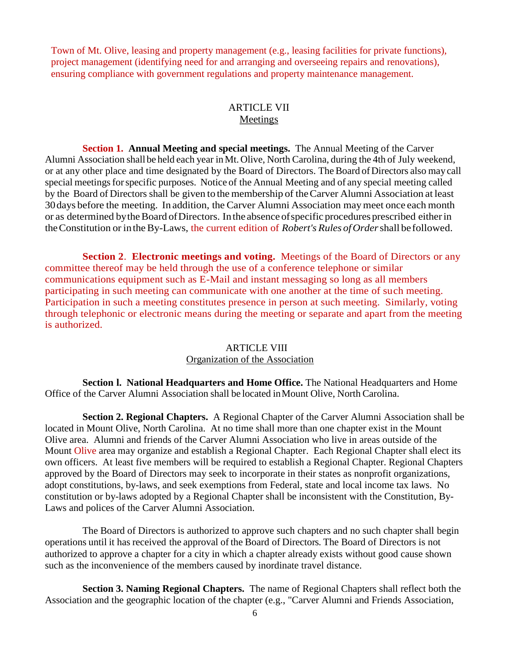Town of Mt. Olive, leasing and property management (e.g., leasing facilities for private functions), project management (identifying need for and arranging and overseeing repairs and renovations), ensuring compliance with government regulations and property maintenance management.

#### ARTICLE VII **Meetings**

**Section 1. Annual Meeting and special meetings.** The Annual Meeting of the Carver Alumni Association shall be held each year inMt. Olive, North Carolina, during the 4th of July weekend, or at any other place and time designated by the Board of Directors. The Board of Directors also may call special meetings for specific purposes. Notice of the Annual Meeting and of any special meeting called by the Board of Directors shall be given to the membership of theCarver Alumni Association at least 30days before the meeting. In addition, the Carver Alumni Association maymeet once each month or as determined by the Board of Directors. In the absence of specific procedures prescribed either in theConstitution or intheBy-Laws, the current edition of *Robert's Rules ofOrder*shall be followed.

**Section 2**. **Electronic meetings and voting.** Meetings of the Board of Directors or any committee thereof may be held through the use of a conference telephone or similar communications equipment such as E-Mail and instant messaging so long as all members participating in such meeting can communicate with one another at the time of such meeting. Participation in such a meeting constitutes presence in person at such meeting. Similarly, voting through telephonic or electronic means during the meeting or separate and apart from the meeting is authorized.

#### ARTICLE VIII Organization of the Association

**Section l. National Headquarters and Home Office.** The National Headquarters and Home Office of the Carver Alumni Association shall be located inMount Olive, North Carolina.

**Section 2. Regional Chapters.** A Regional Chapter of the Carver Alumni Association shall be located in Mount Olive, North Carolina. At no time shall more than one chapter exist in the Mount Olive area. Alumni and friends of the Carver Alumni Association who live in areas outside of the Mount Olive area may organize and establish a Regional Chapter. Each Regional Chapter shall elect its own officers. At least five members will be required to establish a Regional Chapter. Regional Chapters approved by the Board of Directors may seek to incorporate in their states as nonprofit organizations, adopt constitutions, by-laws, and seek exemptions from Federal, state and local income tax laws. No constitution or by-laws adopted by a Regional Chapter shall be inconsistent with the Constitution, By-Laws and polices of the Carver Alumni Association.

The Board of Directors is authorized to approve such chapters and no such chapter shall begin operations until it has received the approval of the Board of Directors. The Board of Directors is not authorized to approve a chapter for a city in which a chapter already exists without good cause shown such as the inconvenience of the members caused by inordinate travel distance.

**Section 3. Naming Regional Chapters.** The name of Regional Chapters shall reflect both the Association and the geographic location of the chapter (e.g., "Carver Alumni and Friends Association,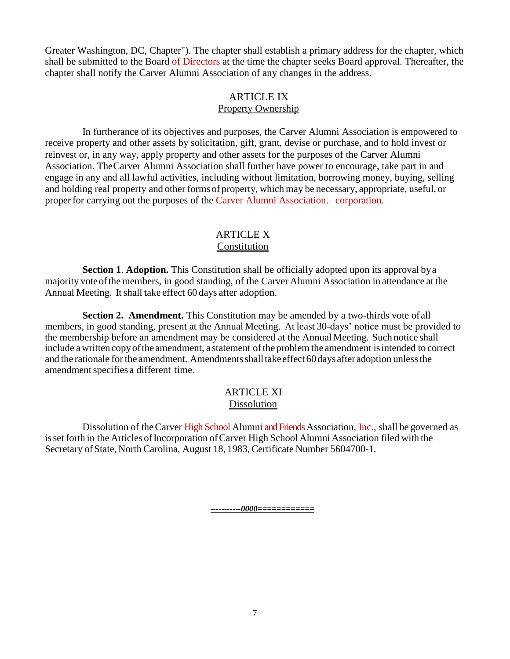Greater Washington, DC, Chapter"). The chapter shall establish a primary address for the chapter, which shall be submitted to the Board of Directors at the time the chapter seeks Board approval. Thereafter, the chapter shall notify the Carver Alumni Association of any changes in the address.

### ARTICLE IX Property Ownership

In furtherance of its objectives and purposes, the Carver Alumni Association is empowered to receive property and other assets by solicitation, gift, grant, devise or purchase, and to hold invest or reinvest or, in any way, apply property and other assets for the purposes of the Carver Alumni Association. TheCarver Alumni Association shall further have power to encourage, take part in and engage in any and all lawful activities, including without limitation, borrowing money, buying, selling and holding real property and other forms of property, which may be necessary, appropriate, useful, or proper for carrying out the purposes of the Carver Alumni Association. Componentially

## ARTICLE X Constitution

**Section 1. Adoption.** This Constitution shall be officially adopted upon its approval by a majority voteofthe members, in good standing, of the Carver Alumni Association in attendance at the Annual Meeting. It shall take effect 60 days after adoption.

**Section 2. Amendment.** This Constitution may be amended by a two-thirds vote of all members, in good standing, present at the Annual Meeting. At least 30-days' notice must be provided to the membership before an amendment may be considered at the Annual Meeting. Such notice shall include a written copy of the amendment, a statement of the problem the amendment is intended to correct and the rationale for the amendment. Amendments shall take effect 60 days after adoption unless the amendment specifies a different time.

### ARTICLE XI Dissolution

Dissolution of theCarver High School Alumni and Friends Association, Inc., shall be governed as is set forth in the Articles of Incorporation of Carver High School Alumni Association filed with the Secretary of State, North Carolina, August 18, 1983, Certificate Number 5604700-1.

*-----------0000============*